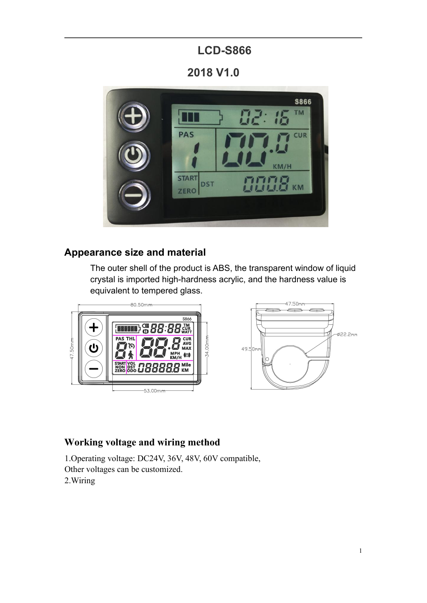# **LCD-S866**

**2018 V1.0**



## **Appearance size and material**



### **Working voltage and wiring method**

2.Wiring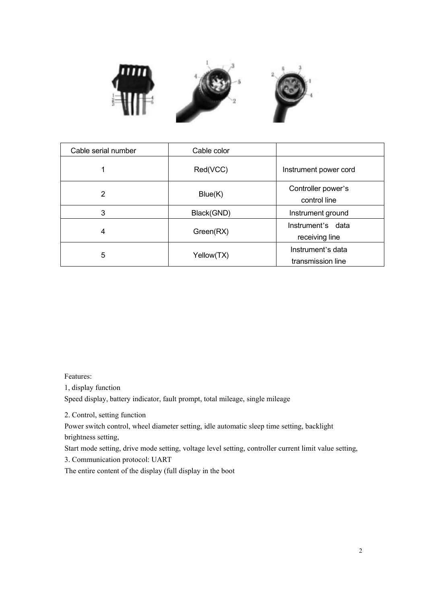

| Cable serial number | Cable color |                                        |
|---------------------|-------------|----------------------------------------|
| $\mathbf 1$         | Red(VCC)    | Instrument power cord                  |
| $\overline{2}$      | Blue(K)     | Controller power's<br>control line     |
| $\mathbf{3}$        | Black(GND)  | Instrument ground                      |
| $\overline{4}$      | Green(RX)   | Instrument's data<br>receiving line    |
| $\sqrt{5}$          | Yellow(TX)  | Instrument's data<br>transmission line |

Features:

1, display function

Speed display, battery indicator, fault prompt, total mileage, single mileage

Features:<br>
1, display function<br>
Speed display, battery indicator, fault prompt, total mileag<br>
2. Control, setting function<br>
Power switch control, wheel diameter setting, idle automa<br>
brightness setting,<br>
Start mode setting Features:<br>1, display function<br>Speed display, battery indicator, fault prompt, total mileage, single mileage<br>2. Control, setting function<br>brightness setting, idle automatic sleep time setting, backlight<br>brightness setting, Features:<br>
1, display function<br>
Speed display, battery indicator, fault prompt, tota<br>
2. Control, setting function<br>
Power switch control, wheel diameter setting, idle<br>
brightness setting,<br>
Start mode setting, drive mode se Features:<br>
1, display function<br>
Speed display, battery indicator, fault prompt, total mileage, single mileage<br>
2. Control, setting function<br>
Power switch control, wheel diameter setting, idle automatic sleep time setting, Features:<br>
1, display function<br>
Speed display, battery indicator, fault prompt, total mileage, single<br>
2. Control, setting function<br>
Power switch control, wheel diameter setting, idle automatic sleep<br>
brightness setting,<br> Features:<br>1, display function<br>Speed display, battery indicator, fault prompt, total mileage, single mileage<br>2. Control, setting function<br>Power switch control, wheel diameter setting, idle automatic sleep time setting, back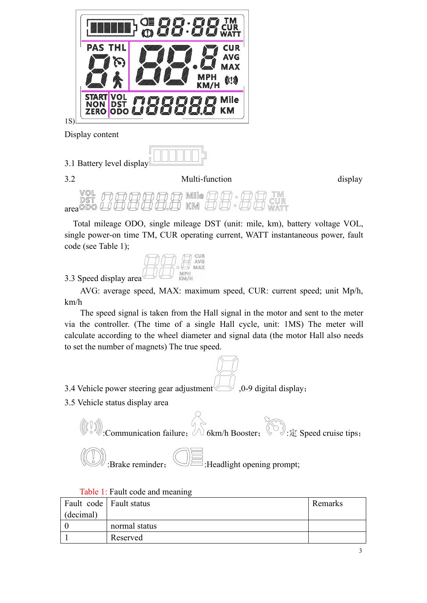



3.2 Multi-function display

area<sup>ODO</sup>

THE TOTAL MINE TO THE MILEAD OPPORTUNITY OF THE UNITED STATES OF MILE THE MILE OF THE MILE OF THE MILE OF THE MILE OF THE TOTAL mileage ODO, single mileage DST (unit: mile, km), battery voltage VOL, angle power-on time TM  $\begin{array}{lllllllll} & \text{13.1 Battery level display} \end{array}$ <br>  $\begin{array}{lllllllllllll} \text{3.2} & \text{Multi-function} & \text{display} \\\hline \end{array}$ <br>  $\begin{array}{lllllllllll} \text{3.3.2} & \text{Multi-function} & \text{display} \\\hline \end{array}$ <br>  $\begin{array}{lllllllllll} \text{3.8.3.2} & \text{Multi-function} & \text{display} \\\hline \end{array}$ <br>  $\begin{array}{lllllllllll} \text{3.9.3.2} & \text{Multi-function} & \text{display} \\\hline \end{array}$ 18)<br>
Display content<br>
3.1 Battery level display<br>  $\begin{array}{c}\n\hline\n\text{Display} \\
\hline\n\end{array}$ <br>
3.2 Multi-function<br>  $\begin{array}{c}\n\text{WOL} \\
\text{SST} \\
\text{area0DO} \\
\hline\n\end{array}$   $\begin{array}{c}\n\hline\n\text{Mille} \\
\hline\n\end{array}$   $\begin{array}{c}\n\hline\n\text{Mille} \\
\hline\n\end{array}$   $\begin{array}{c}\n\hline\n\text{$ 3.1 Battery level display  $\blacksquare$ <br>
3.2 Multi-function<br>  $\begin{array}{c}\n\text{WOL} \\
\text{SST} \\
\text{SST} \\
\text{Total mileage ODO, single mileage DST (unit: mile)} \\
\text{single power-on time TM, CUR operating current, WA1\ncode (see Table 1);\n\end{array}$ <br>
3.3 Speed display area  $\begin{array}{c}\n\text{CUR} \\
\text{MMP} \\
\text{MMP} \\
\text{AVG: average speed, MAX: maximum speed, CU \\
\text{km/h}\n\end{array}$ <br>
The Multi-function<br>
Well **For any contract of the CUR**<br>
Multi-function<br>
Well **and CUR**<br>
Multi-function<br>
Multi-function<br>
Multi-function<br>
Multi-function<br>
CUR: CUR: current speed, the power-on time TM, CUR operating current, WATT



km/h

**THE SPEED SIGNAL IS THE SPEED SIGNAL IS THE SPEED SIGNAL IN THE SPEED WATER**<br>
to speed display area (see Table 1);<br>  $[$  (see Table 1);<br>  $[$  (see Table 1);<br>  $[$  (see Table 1);<br>  $[$  (see Table 1);<br>  $[$  (see Table 1);<br>  $[$  in the controller. (The time of a single Hall cycle, unit: 1MS) The meter will calculate according to the wheel diameter and signal data (the motor Hall also needs) to set the number of magnets) The true speed.<br>
The speed calculate according to the wheel diameter and signal data (the motor Hall also needs)<br>of the motor manner of magnetic signal data (the motor Hall also needs)<br>and signal is taken from the Hall signal in the motor and sent Total mileage ODO, single mileage DST (unit: mile, km), battery voltage single power-on time TM, CUR operating current, WATT instantaneous pover<br>
code (see Table 1);<br>  $\begin{array}{r}\n\hline\n\text{GUT}\n\end{array}$ <br>
3.3 Speed display area  $\begin$ 

3.3 Speed display area  $\bigcup_{\substack{1 \leq m \leq n \\ \text{max}}} \bigotimes_{\substack{2 \leq m \leq n \\ \text{max}}}$  AVG: average speed, MAX: maximum speed, CUR: current speed; unit Mp/h, km/h<br>The speed signal is taken from the Hall signal in the motor and sent to 3.3 Speed display area  $\bigotimes$   $\bigotimes$   $\bigotimes$   $\bigotimes$   $\bigotimes$   $\bigotimes$   $\bigotimes$   $\bigotimes$   $\bigotimes$   $\bigotimes$   $\bigotimes$   $\bigotimes$   $\bigotimes$   $\bigotimes$   $\bigotimes$   $\bigotimes$   $\bigotimes$   $\bigotimes$   $\bigotimes$   $\bigotimes$   $\bigotimes$   $\bigotimes$   $\bigotimes$   $\bigotimes$   $\bigotimes$   $\bigotimes$   $\bigotimes$   $\bigotimes$   $\$ :communication failure;<br>  $\begin{align*}\n\text{Re}(x) = \text{Re}(x) + \text{Im}(x) + \text{Im}(x) + \text{Im}(x) + \text{Im}(x) + \text{Im}(x) + \text{Im}(x) + \text{Im}(x) + \text{Im}(x) + \text{Im}(x) + \text{Im}(x) + \text{Im}(x) + \text{Im}(x) + \text{Im}(x) + \text{Im}(x) + \text{Im}(x) + \text{Im}(x) + \text{Im}(x) + \text{Im}(x) + \text{Im}(x) + \text{Im}(x) + \text{Im}(x) + \text{Im$ :Brake reminder; :Headlight opening prompt; Vehicle power steering gear adjustment<br>Vehicle status display area<br>((1)) Communication failure;<br>Communication failure;<br>Communication failure;<br>Table 1: Fault code and meaning<br>Table 1: Fault code and meaning<br>t code Fault sta 3.4 Vehicle power steering gear adjustment<br>
3.5 Vehicle status display area<br>  $($   $($   $)$   $)$   $\therefore$  Communication failure;<br>  $\therefore$  Gkm<br>  $($   $)$   $\therefore$  Exalt code and meaning<br>
Fault code  $\overline{ }$  Fault status<br>  $($ decimal $)$   $\$ ower steering gear adjustment (2004), 0-9 digital display;<br>
atus display area<br>
ommunication failure; (2008)  $\hat{E}$  Speed cruise tips;<br>
Brake reminder; (2009)<br>
Fault code and meaning<br>
Fault tode and meaning<br>
Fault status<br>



|            | 3.5 Vehicle status display area                                                                                                                             |        |
|------------|-------------------------------------------------------------------------------------------------------------------------------------------------------------|--------|
|            | <b>Communication failure:</b> $\begin{bmatrix} 0 \\ 0 \end{bmatrix}$ 6km/h Booster; $\begin{bmatrix} 0 \\ 0 \end{bmatrix}$ : $\hat{\mathbb{E}}$ Speed cruis |        |
|            | :Brake reminder,<br>$\equiv$ :Headlight opening prompt;                                                                                                     |        |
|            | Table 1: Fault code and meaning                                                                                                                             |        |
| Fault code | <b>Fault status</b>                                                                                                                                         | Remark |
| (decimal)  |                                                                                                                                                             |        |
| 0          | normal status                                                                                                                                               |        |
|            | Reserved                                                                                                                                                    |        |
|            |                                                                                                                                                             |        |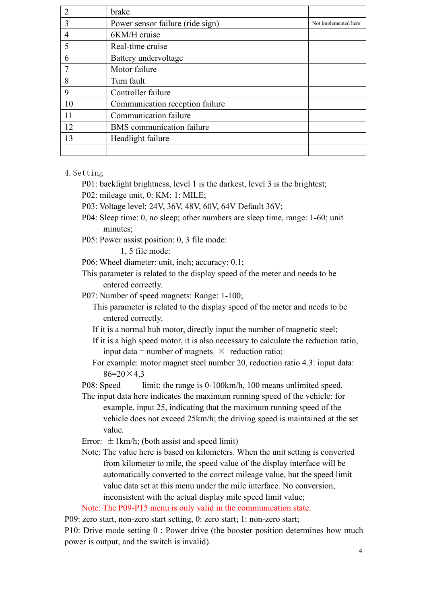|                | brake                            |                      |
|----------------|----------------------------------|----------------------|
| 3              | Power sensor failure (ride sign) | Not implemented here |
| $\overline{4}$ | 6KM/H cruise                     |                      |
| 5              | Real-time cruise                 |                      |
| 6              | Battery undervoltage             |                      |
| 7              | Motor failure                    |                      |
| 8              | Turn fault                       |                      |
| 9              | Controller failure               |                      |
| 10             | Communication reception failure  |                      |
| 11             | Communication failure            |                      |
| 12             | <b>BMS</b> communication failure |                      |
| 13             | Headlight failure                |                      |
|                |                                  |                      |

#### 4.Setting

- P01: backlight brightness, level 1 is the darkest, level 3 is the brightest;
- P02: mileage unit, 0: KM; 1: MILE;
- P03: Voltage level: 24V, 36V, 48V, 60V, 64V Default 36V;
- P04: Sleep time: 0, no sleep; other numbers are sleep time, range: 1-60; unit minutes;
- P05: Power assist position: 0, 3 file mode:

1, 5 file mode:

- P06: Wheel diameter: unit, inch; accuracy: 0.1;
- This parameter is related to the display speed of the meter and needs to be entered correctly.
- P07: Number of speed magnets: Range: 1-100;

This parameter is related to the display speed of the meter and needs to be entered correctly.

- If it is a normal hub motor, directly input the number of magnetic steel;
- If it is a high speed motor, it is also necessary to calculate the reduction ratio, input data = number of magnets  $\times$  reduction ratio;
- For example: motor magnet steel number 20, reduction ratio 4.3: input data:  $86=20\times43$

P08: Speed limit: the range is 0-100km/h, 100 means unlimited speed.

- The input data here indicates the maximum running speed of the vehicle: for example, input 25, indicating that the maximum running speed of the vehicle does not exceed 25km/h; the driving speed is maintained at the set value.
- Error:  $\pm 1$ km/h; (both assist and speed limit)
- Note: The value here is based on kilometers.When the unit setting is converted from kilometer to mile, the speed value of the display interface will be automatically converted to the correct mileage value, but the speed limit value data set at this menu under the mile interface. No conversion, inconsistent with the actual display mile speed limit value;

Note: The P09-P15 menu is only valid in the communication state.

P09: zero start, non-zero start setting, 0: zero start; 1: non-zero start;

P10: Drive mode setting 0 : Power drive (the booster position determines how much power is output, and the switch is invalid).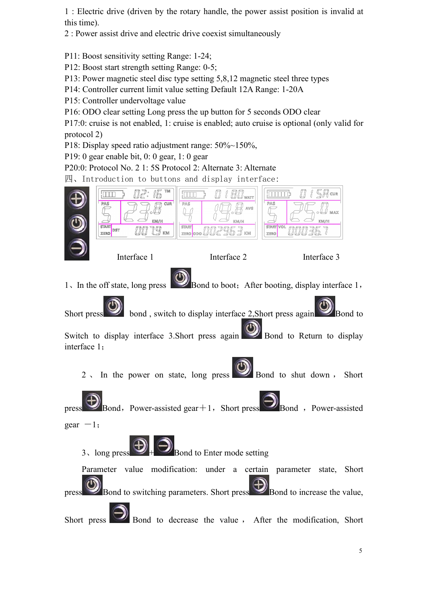1 : Electric drive (driven by the rotary handle, the power assist position is invalid at

this time).<br>2 : Power assist drive and electric drive coexist simultaneously

P11: Boost sensitivity setting Range: 1-24;

P12: Boost start strength setting Range: 0-5;

P13: Power magnetic steel disc type setting 5,8,12 magnetic steel three types

P14: Controller current limit value setting Default 12A Range: 1-20A

P15: Controller undervoltage value

P16: ODO clear setting Long press the up button for 5 seconds ODO clear

P17:0: cruise is not enabled, 1: cruise is enabled; auto cruise is optional (only valid for protocol 2)

P18: Display speed ratio adjustment range: 50%~150%,

P19: 0 gear enable bit, 0: 0 gear, 1: 0 gear

P20:0: Protocol No. 2 1: 5S Protocol 2: Alternate 3: Alternate

四、Introduction to buttons and display interface: